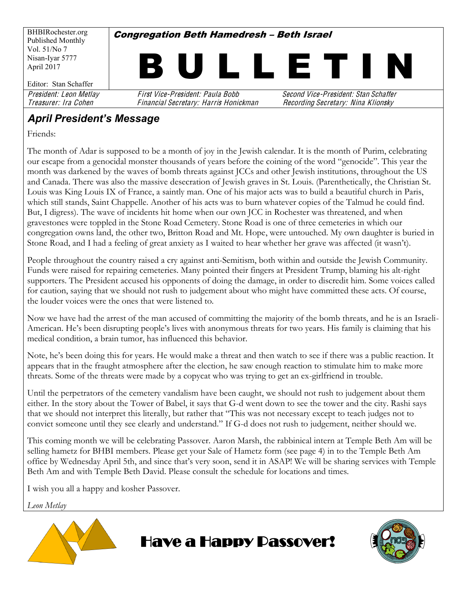BHBIRochester.org Published Monthly Vol. 51/No 7 Nisan-Iyar 5777 April 2017 Editor: Stan Schaffer **Congregation Beth Hamedresh - Beth Israel** I L L E T I I President: Leon Metlay First Vice-President: Paula Bobb Second Vice-President: Stan Schaffer

Treasurer: Ira Cohen Financial Secretary: Harris Honickman Recording Secretary: Nina Klionsky

### **April President's Message**

Friends:

The month of Adar is supposed to be a month of joy in the Jewish calendar. It is the month of Purim, celebrating our escape from a genocidal monster thousands of years before the coining of the word "genocide". This year the month was darkened by the waves of bomb threats against JCCs and other Jewish institutions, throughout the US and Canada. There was also the massive desecration of Jewish graves in St. Louis. (Parenthetically, the Christian St. Louis was King Louis IX of France, a saintly man. One of his major acts was to build a beautiful church in Paris, which still stands, Saint Chappelle. Another of his acts was to burn whatever copies of the Talmud he could find. But, I digress). The wave of incidents hit home when our own JCC in Rochester was threatened, and when gravestones were toppled in the Stone Road Cemetery. Stone Road is one of three cemeteries in which our congregation owns land, the other two, Britton Road and Mt. Hope, were untouched. My own daughter is buried in Stone Road, and I had a feeling of great anxiety as I waited to hear whether her grave was affected (it wasn't).

People throughout the country raised a cry against anti-Semitism, both within and outside the Jewish Community. Funds were raised for repairing cemeteries. Many pointed their fingers at President Trump, blaming his alt-right supporters. The President accused his opponents of doing the damage, in order to discredit him. Some voices called for caution, saying that we should not rush to judgement about who might have committed these acts. Of course, the louder voices were the ones that were listened to.

Now we have had the arrest of the man accused of committing the majority of the bomb threats, and he is an Israeli- American. He's been disrupting people's lives with anonymous threats for two years. His family is claiming that his medical condition, a brain tumor, has influenced this behavior.

Note, he's been doing this for years. He would make a threat and then watch to see if there was a public reaction. It appears that in the fraught atmosphere after the election, he saw enough reaction to stimulate him to make more threats. Some of the threats were made by a copycat who was trying to get an ex-girlfriend in trouble.

Until the perpetrators of the cemetery vandalism have been caught, we should not rush to judgement about them either. In the story about the Tower of Babel, it says that G-d went down to see the tower and the city. Rashi says that we should not interpret this literally, but rather that "This was not necessary except to teach judges not to convict someone until they see clearly and understand." If G-d does not rush to judgement, neither should we.

This coming month we will be celebrating Passover. Aaron Marsh, the rabbinical intern at Temple Beth Am will be selling hametz for BHBI members. Please get your Sale of Hametz form (see page 4) in to the Temple Beth Am office by Wednesday April 5th, and since that's very soon, send it in ASAP! We will be sharing services with Temple Beth Am and with Temple Beth David. Please consult the schedule for locations and times.

Have a Happy Passover!

I wish you all a happy and kosher Passover.

*Leon Metlay*



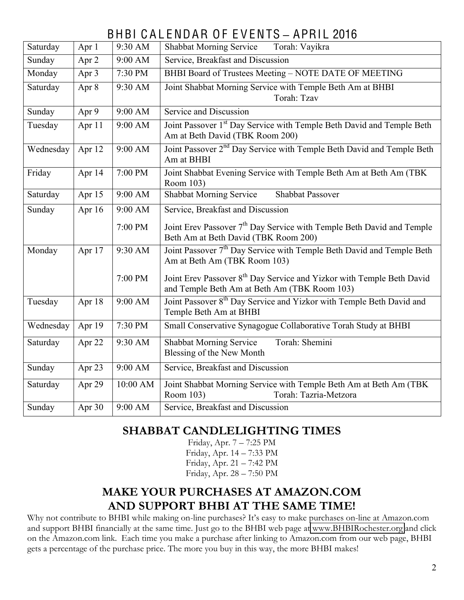# BHBI CAL ENDAR OF EVENTS - APRIL 2016

| Saturday  | Apr 1               | 9:30 AM   | Shabbat Morning Service Torah: Vayikra                                                                                            |  |  |  |  |
|-----------|---------------------|-----------|-----------------------------------------------------------------------------------------------------------------------------------|--|--|--|--|
| Sunday    | Apr 2               | 9:00 AM   | Service, Breakfast and Discussion                                                                                                 |  |  |  |  |
| Monday    | Apr 3               | 7:30 PM   | BHBI Board of Trustees Meeting - NOTE DATE OF MEETING                                                                             |  |  |  |  |
| Saturday  | Apr 8               | 9:30 AM   | Joint Shabbat Morning Service with Temple Beth Am at BHBI<br>Torah: Tzav                                                          |  |  |  |  |
| Sunday    | Apr 9               | 9:00 AM   | Service and Discussion                                                                                                            |  |  |  |  |
| Tuesday   | Apr 11              | 9:00 AM   | Joint Passover 1 <sup>st</sup> Day Service with Temple Beth David and Temple Beth<br>Am at Beth David (TBK Room 200)              |  |  |  |  |
| Wednesday | Apr 12              | 9:00 AM   | Joint Passover 2 <sup>nd</sup> Day Service with Temple Beth David and Temple Beth<br>Am at BHBI                                   |  |  |  |  |
| Friday    | Apr 14              | 7:00 PM   | Joint Shabbat Evening Service with Temple Beth Am at Beth Am (TBK)<br>Room 103)                                                   |  |  |  |  |
| Saturday  | Apr 15              | 9:00 AM   | <b>Shabbat Morning Service</b><br><b>Shabbat Passover</b>                                                                         |  |  |  |  |
| Sunday    | Apr 16              | $9:00$ AM | Service, Breakfast and Discussion                                                                                                 |  |  |  |  |
|           |                     | 7:00 PM   | Joint Erev Passover 7 <sup>th</sup> Day Service with Temple Beth David and Temple<br>Beth Am at Beth David (TBK Room 200)         |  |  |  |  |
| Monday    | Apr 17              | 9:30 AM   | Joint Passover 7 <sup>th</sup> Day Service with Temple Beth David and Temple Beth<br>Am at Beth Am (TBK Room 103)                 |  |  |  |  |
|           |                     | 7:00 PM   | Joint Erev Passover 8 <sup>th</sup> Day Service and Yizkor with Temple Beth David<br>and Temple Beth Am at Beth Am (TBK Room 103) |  |  |  |  |
| Tuesday   | Apr 18              | 9:00 AM   | Joint Passover 8 <sup>th</sup> Day Service and Yizkor with Temple Beth David and<br>Temple Beth Am at BHBI                        |  |  |  |  |
| Wednesday | Apr 19              | 7:30 PM   | Small Conservative Synagogue Collaborative Torah Study at BHBI                                                                    |  |  |  |  |
| Saturday  | Apr 22              | 9:30 AM   | Torah: Shemini<br><b>Shabbat Morning Service</b><br>Blessing of the New Month                                                     |  |  |  |  |
| Sunday    | Apr 23              | 9:00 AM   | Service, Breakfast and Discussion                                                                                                 |  |  |  |  |
| Saturday  | Apr 29              | 10:00 AM  | Joint Shabbat Morning Service with Temple Beth Am at Beth Am (TBK<br>Room 103)<br>Torah: Tazria-Metzora                           |  |  |  |  |
| Sunday    | Apr $3\overline{0}$ | 9:00 AM   | Service, Breakfast and Discussion                                                                                                 |  |  |  |  |

#### **SHABBAT CANDLELIGHTING TIMES**

Friday, Apr.  $7 - 7:25$  PM Friday, Apr.  $14 - 7:33$  PM Friday, Apr.  $21 - 7:42$  PM Friday, Apr. 28 - 7:50 PM

#### **MAKE YOUR PURCHASES AT AMAZON.COM AND SUPPORT BHBI AT THE SAME TIME!**

Why not contribute to BHBI while making on-line purchases? It's easy to make purchases on-line at Amazon.com and support BHBI financially at the same time. Just go to the BHBI web page at [www.BHBIRochester.org](http://www.bhbirochester.org/) and click on the Amazon.com link. Each time you make a purchase after linking to Amazon.com from our web page, BHBI gets a percentage of the purchase price. The more you buy in this way, the more BHBI makes!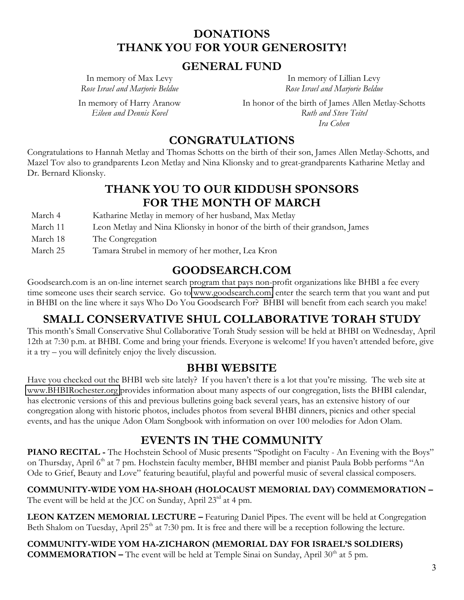#### **DONATIONS THANK YOU FOR YOUR GENEROSITY!**

#### **GENERAL FUND**

In memory of Max Levy *Rose Israel and Marjorie Beldue*

In memory of Harry Aranow *Eileen and Dennis Kovel*

In memory of Lillian Levy *Rose Israel and Marjorie Beldue*

In honor of the birth of James Allen Metlay-Schotts *Ruth and Steve Teitel Ira Cohen*

#### **CONGRATULATIONS**

Congratulations to Hannah Metlay and Thomas Schotts on the birth of their son, James Allen Metlay-Schotts, and Mazel Tov also to grandparents Leon Metlay and Nina Klionsky and to great-grandparents Katharine Metlay and Dr. Bernard Klionsky.

## **THANK YOU TO OUR KIDDUSH SPONSORS FOR THE MONTH OF MARCH**

| March 4  | Katharine Metlay in memory of her husband, Max Metlay                        |
|----------|------------------------------------------------------------------------------|
| March 11 | Leon Metlay and Nina Klionsky in honor of the birth of their grandson, James |
| March 18 | The Congregation                                                             |
| March 25 | Tamara Strubel in memory of her mother, Lea Kron                             |

### **GOODSEARCH.COM**

Goodsearch.com is an on-line internet search program that pays non-profit organizations like BHBI a fee every time someone uses their search service. Go to [www.goodsearch.com,](http://www.goodsearch.com/) enter the search term that you want and put in BHBI on the line where it says Who Do You Goodsearch For? BHBI will benefit from each search you make!

### **SMALL CONSERVATIVE SHUL COLLABORATIVE TORAH STUDY**

This month's Small Conservative Shul Collaborative Torah Study session will be held at BHBI on Wednesday, April 12th at 7:30 p.m. at BHBI. Come and bring your friends. Everyone is welcome! If you haven't attended before, give it a try  $-$  you will definitely enjoy the lively discussion.

#### **BHBI WEBSITE**

Have you checked out the BHBI web site lately? If you haven't there is a lot that you're missing. The web site at [www.BHBIRochester.org](http://www.bhbirochester.org/) provides information about many aspects of our congregation, lists the BHBI calendar, has electronic versions of this and previous bulletins going back several years, has an extensive history of our congregation along with historic photos, includes photos from several BHBI dinners, picnics and other special events, and has the unique Adon Olam Songbook with information on over 100 melodies for Adon Olam.

# **EVENTS IN THE COMMUNITY**

**PIANO RECITAL** - The Hochstein School of Music presents "Spotlight on Faculty - An Evening with the Boys" on Thursday, April 6<sup>th</sup> at 7 pm. Hochstein faculty member, BHBI member and pianist Paula Bobb performs "An Ode to Grief, Beauty and Love" featuring beautiful, playful and powerful music of several classical composers.

**COMMUNITY-WIDE YOM HA-SHOAH (HOLOCAUST MEMORIAL DAY) COMMEMORATION ²** The event will be held at the JCC on Sunday, April 23<sup>rd</sup> at 4 pm.

**LEON KATZEN MEMORIAL LECTURE – Featuring Daniel Pipes. The event will be held at Congregation** Beth Shalom on Tuesday, April 25<sup>th</sup> at 7:30 pm. It is free and there will be a reception following the lecture.

COMMUNITY-WIDE YOM HA-ZICHARON (MEMORIAL DAY FOR ISRAEL'S SOLDIERS) **COMMEMORATION –** The event will be held at Temple Sinai on Sunday, April  $30<sup>th</sup>$  at 5 pm.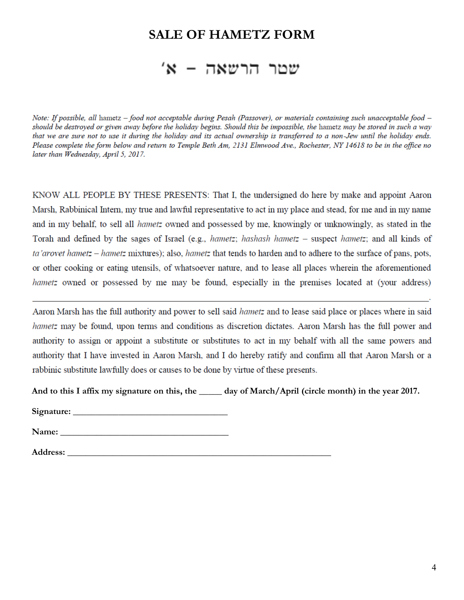#### **SALE OF HAMETZ FORM**

# שטר הרשאה - א'

Note: If possible, all hametz – food not acceptable during Pesah (Passover), or materials containing such unacceptable food – should be destroyed or given away before the holiday begins. Should this be impossible, the hametz may be stored in such a way that we are sure not to use it during the holiday and its actual ownership is transferred to a non-Jew until the holiday ends. Please complete the form below and return to Temple Beth Am, 2131 Elmwood Ave., Rochester, NY 14618 to be in the office no later than Wednesday, April 5, 2017.

KNOW ALL PEOPLE BY THESE PRESENTS: That I, the undersigned do here by make and appoint Aaron Marsh, Rabbinical Intern, my true and lawful representative to act in my place and stead, for me and in my name and in my behalf, to sell all *hametz* owned and possessed by me, knowingly or unknowingly, as stated in the Torah and defined by the sages of Israel (e.g., hametz; hashash hametz - suspect hametz; and all kinds of ta'arovet hametz – hametz mixtures); also, hametz that tends to harden and to adhere to the surface of pans, pots, or other cooking or eating utensils, of whatsoever nature, and to lease all places wherein the aforementioned *hametz* owned or possessed by me may be found, especially in the premises located at (your address)

Aaron Marsh has the full authority and power to sell said *hametz* and to lease said place or places where in said hametz may be found, upon terms and conditions as discretion dictates. Aaron Marsh has the full power and authority to assign or appoint a substitute or substitutes to act in my behalf with all the same powers and authority that I have invested in Aaron Marsh, and I do hereby ratify and confirm all that Aaron Marsh or a rabbinic substitute lawfully does or causes to be done by virtue of these presents.

 **And to this I affix my signature on this, the \_\_\_\_\_ day of March/April (circle month) in the year 2017.**

**Signature:** 

 **Name: \_\_\_\_\_\_\_\_\_\_\_\_\_\_\_\_\_\_\_\_\_\_\_\_\_\_\_\_\_\_\_\_\_\_\_\_\_**

 **Address: \_\_\_\_\_\_\_\_\_\_\_\_\_\_\_\_\_\_\_\_\_\_\_\_\_\_\_\_\_\_\_\_\_\_\_\_\_\_\_\_\_\_\_\_\_\_\_\_\_\_\_\_\_\_\_\_\_\_**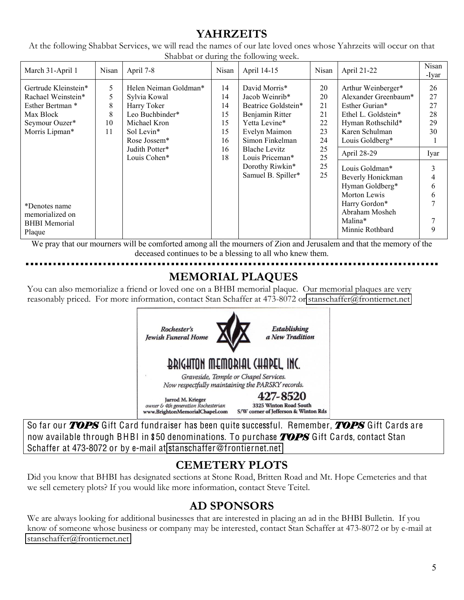### **YAHRZEITS**

At the following Shabbat Services, we will read the names of our late loved ones whose Yahrzeits will occur on that Shabbat or during the following week.

| March 31-April 1                                                                                                | Nisan                        | April 7-8                                                                                                                                               | C)<br>Nisan                                        | April 14-15                                                                                                                                                                                                        | Nisan                                                          | April 21-22                                                                                                                                                  | Nisan<br>-Ivar                           |
|-----------------------------------------------------------------------------------------------------------------|------------------------------|---------------------------------------------------------------------------------------------------------------------------------------------------------|----------------------------------------------------|--------------------------------------------------------------------------------------------------------------------------------------------------------------------------------------------------------------------|----------------------------------------------------------------|--------------------------------------------------------------------------------------------------------------------------------------------------------------|------------------------------------------|
| Gertrude Kleinstein*<br>Rachael Weinstein*<br>Esther Bertman *<br>Max Block<br>Seymour Ouzer*<br>Morris Lipman* | 5<br>5<br>8<br>8<br>10<br>11 | Helen Neiman Goldman*<br>Sylvia Kowal<br>Harry Toker<br>Leo Buchbinder*<br>Michael Kron<br>Sol Levin*<br>Rose Jossem*<br>Judith Potter*<br>Louis Cohen* | 14<br>14<br>14<br>15<br>15<br>15<br>16<br>16<br>18 | David Morris*<br>Jacob Weinrib*<br>Beatrice Goldstein*<br>Benjamin Ritter<br>Yetta Levine*<br>Evelyn Maimon<br>Simon Finkelman<br><b>Blache Levitz</b><br>Louis Priceman*<br>Dorothy Riwkin*<br>Samuel B. Spiller* | 20<br>20<br>21<br>21<br>22<br>23<br>24<br>25<br>25<br>25<br>25 | Arthur Weinberger*<br>Alexander Greenbaum*<br>Esther Gurian*<br>Ethel L. Goldstein*<br>Hyman Rothschild*<br>Karen Schulman<br>Louis Goldberg*<br>April 28-29 | 26<br>27<br>27<br>28<br>29<br>30<br>Iyar |
| *Denotes name<br>memorialized on<br><b>BHBI</b> Memorial<br>Plaque                                              |                              |                                                                                                                                                         |                                                    |                                                                                                                                                                                                                    |                                                                | Louis Goldman*<br>Beverly Honickman<br>Hyman Goldberg*<br>Morton Lewis<br>Harry Gordon*<br>Abraham Mosheh<br>Malina*<br>Minnie Rothbard                      | 3<br>4<br>6<br>6<br>7<br>7<br>9          |

We pray that our mourners will be comforted among all the mourners of Zion and Jerusalem and that the memory of the deceased continues to be a blessing to all who knew them.

# **MEMORIAL PLAQUES**

You can also memorialize a friend or loved one on a BHBI memorial plaque. Our memorial plaques are very reasonably priced. For more information, contact Stan Schaffer at 473-8072 or [stanschaffer@frontiernet.net](mailto:stanschaffer@frontiernet.net)



So far our *TOPS* Gift Card fundraiser has been quite successful. Remember, *TOPS* Gift Cards are now available through BHBI in \$50 denominations. To purchase *TOPS* Gift Cards, contact Stan Schaffer at 473-8072 or by e-mail at stanschaffe[r@fronti](mailto:stanschaffer@frontiernet.net)ernet.net

### **CEMETERY PLOTS**

Did you know that BHBI has designated sections at Stone Road, Britten Road and Mt. Hope Cemeteries and that we sell cemetery plots? If you would like more information, contact Steve Teitel.

# **AD SPONSORS**

We are always looking for additional businesses that are interested in placing an ad in the BHBI Bulletin. If you know of someone whose business or company may be interested, contact Stan Schaffer at 473-8072 or by e-mail at [stanschaffer@frontiernet.net](mailto:stanschaffer@frontiernet.net)